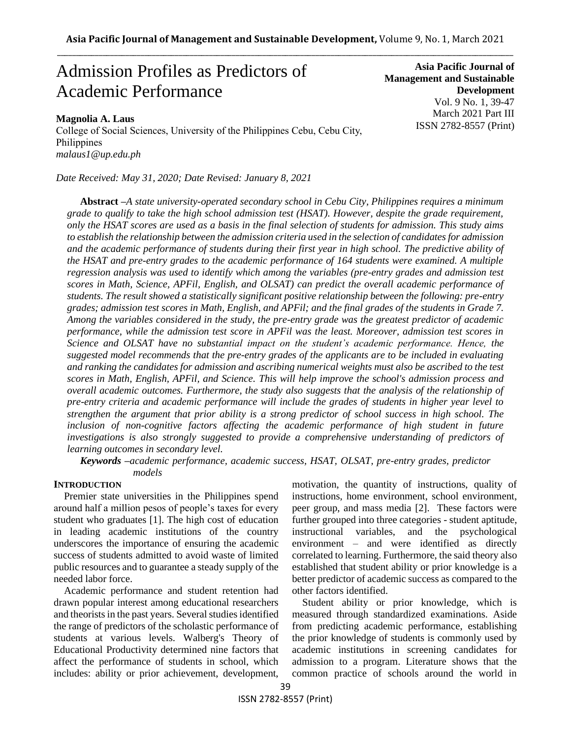# Admission Profiles as Predictors of Academic Performance

# **Magnolia A. Laus**

College of Social Sciences, University of the Philippines Cebu, Cebu City, Philippines *malaus1@up.edu.ph*

*Date Received: May 31, 2020; Date Revised: January 8, 2021*

**Asia Pacific Journal of Management and Sustainable Development**  Vol. 9 No. 1, 39-47 March 2021 Part III ISSN 2782-8557 (Print)

**Abstract** *–A state university-operated secondary school in Cebu City, Philippines requires a minimum grade to qualify to take the high school admission test (HSAT). However, despite the grade requirement, only the HSAT scores are used as a basis in the final selection of students for admission. This study aims to establish the relationship between the admission criteria used in the selection of candidates for admission and the academic performance of students during their first year in high school. The predictive ability of the HSAT and pre-entry grades to the academic performance of 164 students were examined. A multiple regression analysis was used to identify which among the variables (pre-entry grades and admission test scores in Math, Science, APFil, English, and OLSAT) can predict the overall academic performance of students. The result showed a statistically significant positive relationship between the following: pre-entry grades; admission test scores in Math, English, and APFil; and the final grades of the students in Grade 7. Among the variables considered in the study, the pre-entry grade was the greatest predictor of academic performance, while the admission test score in APFil was the least. Moreover, admission test scores in Science and OLSAT have no substantial impact on the student's academic performance. Hence, the suggested model recommends that the pre-entry grades of the applicants are to be included in evaluating and ranking the candidates for admission and ascribing numerical weights must also be ascribed to the test scores in Math, English, APFil, and Science. This will help improve the school's admission process and overall academic outcomes. Furthermore, the study also suggests that the analysis of the relationship of pre-entry criteria and academic performance will include the grades of students in higher year level to strengthen the argument that prior ability is a strong predictor of school success in high school. The*  inclusion of non-cognitive factors affecting the academic performance of high student in future *investigations is also strongly suggested to provide a comprehensive understanding of predictors of learning outcomes in secondary level.* 

*Keywords –academic performance, academic success, HSAT, OLSAT, pre-entry grades, predictor models*

#### **INTRODUCTION**

Premier state universities in the Philippines spend around half a million pesos of people's taxes for every student who graduates [1]. The high cost of education in leading academic institutions of the country underscores the importance of ensuring the academic success of students admitted to avoid waste of limited public resources and to guarantee a steady supply of the needed labor force.

Academic performance and student retention had drawn popular interest among educational researchers and theorists in the past years. Several studies identified the range of predictors of the scholastic performance of students at various levels. Walberg's Theory of Educational Productivity determined nine factors that affect the performance of students in school, which includes: ability or prior achievement, development, motivation, the quantity of instructions, quality of instructions, home environment, school environment, peer group, and mass media [2]. These factors were further grouped into three categories - student aptitude, instructional variables, and the psychological environment – and were identified as directly correlated to learning. Furthermore, the said theory also established that student ability or prior knowledge is a better predictor of academic success as compared to the other factors identified.

Student ability or prior knowledge, which is measured through standardized examinations. Aside from predicting academic performance, establishing the prior knowledge of students is commonly used by academic institutions in screening candidates for admission to a program. Literature shows that the common practice of schools around the world in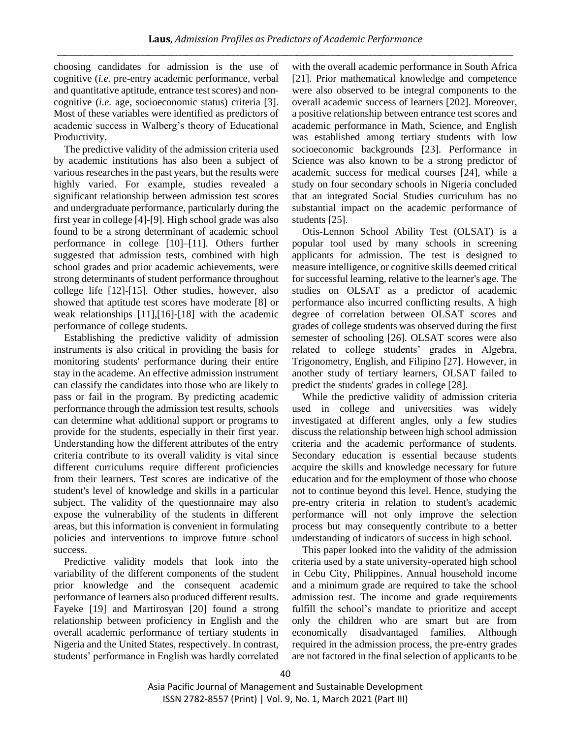choosing candidates for admission is the use of cognitive (*i.e.* pre-entry academic performance, verbal and quantitative aptitude, entrance test scores) and noncognitive (*i.e.* age, socioeconomic status) criteria [3]. Most of these variables were identified as predictors of academic success in Walberg's theory of Educational Productivity.

The predictive validity of the admission criteria used by academic institutions has also been a subject of various researches in the past years, but the results were highly varied. For example, studies revealed a significant relationship between admission test scores and undergraduate performance, particularly during the first year in college [4]-[9]. High school grade was also found to be a strong determinant of academic school performance in college [10]–[11]. Others further suggested that admission tests, combined with high school grades and prior academic achievements, were strong determinants of student performance throughout college life [12]-[15]. Other studies, however, also showed that aptitude test scores have moderate [8] or weak relationships [11],[16]-[18] with the academic performance of college students.

Establishing the predictive validity of admission instruments is also critical in providing the basis for monitoring students' performance during their entire stay in the academe. An effective admission instrument can classify the candidates into those who are likely to pass or fail in the program. By predicting academic performance through the admission test results, schools can determine what additional support or programs to provide for the students, especially in their first year. Understanding how the different attributes of the entry criteria contribute to its overall validity is vital since different curriculums require different proficiencies from their learners. Test scores are indicative of the student's level of knowledge and skills in a particular subject. The validity of the questionnaire may also expose the vulnerability of the students in different areas, but this information is convenient in formulating policies and interventions to improve future school success.

Predictive validity models that look into the variability of the different components of the student prior knowledge and the consequent academic performance of learners also produced different results. Fayeke [19] and Martirosyan [20] found a strong relationship between proficiency in English and the overall academic performance of tertiary students in Nigeria and the United States, respectively. In contrast, students' performance in English was hardly correlated with the overall academic performance in South Africa [21]. Prior mathematical knowledge and competence were also observed to be integral components to the overall academic success of learners [202]. Moreover, a positive relationship between entrance test scores and academic performance in Math, Science, and English was established among tertiary students with low socioeconomic backgrounds [23]. Performance in Science was also known to be a strong predictor of academic success for medical courses [24], while a study on four secondary schools in Nigeria concluded that an integrated Social Studies curriculum has no substantial impact on the academic performance of students [25].

Otis-Lennon School Ability Test (OLSAT) is a popular tool used by many schools in screening applicants for admission. The test is designed to measure intelligence, or cognitive skills deemed critical for successful learning, relative to the learner's age. The studies on OLSAT as a predictor of academic performance also incurred conflicting results. A high degree of correlation between OLSAT scores and grades of college students was observed during the first semester of schooling [26]. OLSAT scores were also related to college students' grades in Algebra, Trigonometry, English, and Filipino [27]. However, in another study of tertiary learners, OLSAT failed to predict the students' grades in college [28].

While the predictive validity of admission criteria used in college and universities was widely investigated at different angles, only a few studies discuss the relationship between high school admission criteria and the academic performance of students. Secondary education is essential because students acquire the skills and knowledge necessary for future education and for the employment of those who choose not to continue beyond this level. Hence, studying the pre-entry criteria in relation to student's academic performance will not only improve the selection process but may consequently contribute to a better understanding of indicators of success in high school.

This paper looked into the validity of the admission criteria used by a state university-operated high school in Cebu City, Philippines. Annual household income and a minimum grade are required to take the school admission test. The income and grade requirements fulfill the school's mandate to prioritize and accept only the children who are smart but are from economically disadvantaged families. Although required in the admission process, the pre-entry grades are not factored in the final selection of applicants to be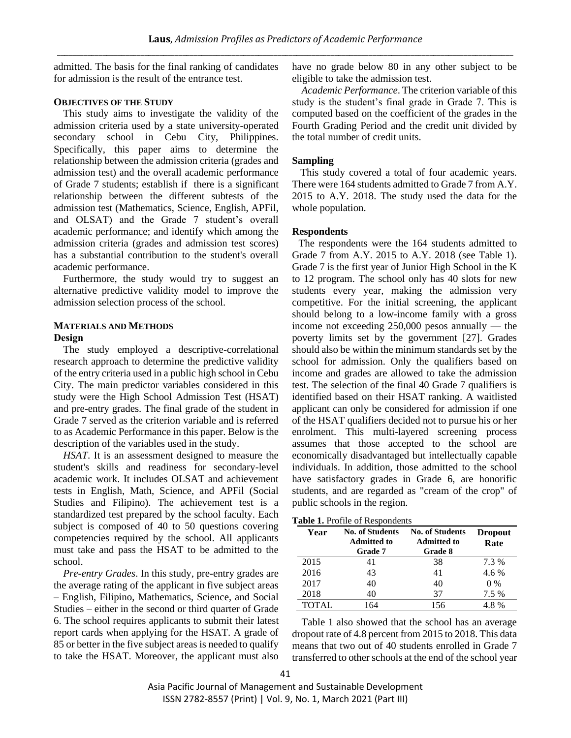admitted. The basis for the final ranking of candidates for admission is the result of the entrance test.

# **OBJECTIVES OF THE STUDY**

This study aims to investigate the validity of the admission criteria used by a state university-operated secondary school in Cebu City, Philippines. Specifically, this paper aims to determine the relationship between the admission criteria (grades and admission test) and the overall academic performance of Grade 7 students; establish if there is a significant relationship between the different subtests of the admission test (Mathematics, Science, English, APFil, and OLSAT) and the Grade 7 student's overall academic performance; and identify which among the admission criteria (grades and admission test scores) has a substantial contribution to the student's overall academic performance.

Furthermore, the study would try to suggest an alternative predictive validity model to improve the admission selection process of the school.

## **MATERIALS AND METHODS Design**

The study employed a descriptive-correlational research approach to determine the predictive validity of the entry criteria used in a public high school in Cebu City. The main predictor variables considered in this study were the High School Admission Test (HSAT) and pre-entry grades. The final grade of the student in Grade 7 served as the criterion variable and is referred to as Academic Performance in this paper. Below is the description of the variables used in the study.

*HSAT*. It is an assessment designed to measure the student's skills and readiness for secondary-level academic work. It includes OLSAT and achievement tests in English, Math, Science, and APFil (Social Studies and Filipino). The achievement test is a standardized test prepared by the school faculty. Each subject is composed of 40 to 50 questions covering competencies required by the school. All applicants must take and pass the HSAT to be admitted to the school.

*Pre-entry Grades*. In this study, pre-entry grades are the average rating of the applicant in five subject areas – English, Filipino, Mathematics, Science, and Social Studies – either in the second or third quarter of Grade 6. The school requires applicants to submit their latest report cards when applying for the HSAT. A grade of 85 or better in the five subject areas is needed to qualify to take the HSAT. Moreover, the applicant must also have no grade below 80 in any other subject to be eligible to take the admission test.

*Academic Performance*. The criterion variable of this study is the student's final grade in Grade 7. This is computed based on the coefficient of the grades in the Fourth Grading Period and the credit unit divided by the total number of credit units.

## **Sampling**

This study covered a total of four academic years. There were 164 students admitted to Grade 7 from A.Y. 2015 to A.Y. 2018. The study used the data for the whole population.

#### **Respondents**

The respondents were the 164 students admitted to Grade 7 from A.Y. 2015 to A.Y. 2018 (see Table 1). Grade 7 is the first year of Junior High School in the K to 12 program. The school only has 40 slots for new students every year, making the admission very competitive. For the initial screening, the applicant should belong to a low-income family with a gross income not exceeding 250,000 pesos annually — the poverty limits set by the government [27]. Grades should also be within the minimum standards set by the school for admission. Only the qualifiers based on income and grades are allowed to take the admission test. The selection of the final 40 Grade 7 qualifiers is identified based on their HSAT ranking. A waitlisted applicant can only be considered for admission if one of the HSAT qualifiers decided not to pursue his or her enrolment. This multi-layered screening process assumes that those accepted to the school are economically disadvantaged but intellectually capable individuals. In addition, those admitted to the school have satisfactory grades in Grade 6, are honorific students, and are regarded as "cream of the crop" of public schools in the region.

**Table 1.** Profile of Respondents

| Year         | <b>No. of Students</b><br><b>Admitted to</b><br><b>Grade</b> 7 | <b>No. of Students</b><br><b>Admitted to</b><br>Grade 8 | <b>Dropout</b><br>Rate |  |
|--------------|----------------------------------------------------------------|---------------------------------------------------------|------------------------|--|
| 2015         | 41                                                             | 38                                                      | 7.3 %                  |  |
| 2016         | 43                                                             | 41                                                      | $4.6\%$                |  |
| 2017         | 40                                                             | 40                                                      | $0\%$                  |  |
| 2018         | 40                                                             | 37                                                      | 7.5 %                  |  |
| <b>TOTAL</b> | 164                                                            | 156                                                     | 4.8%                   |  |

Table 1 also showed that the school has an average dropout rate of 4.8 percent from 2015 to 2018. This data means that two out of 40 students enrolled in Grade 7 transferred to other schools at the end of the school year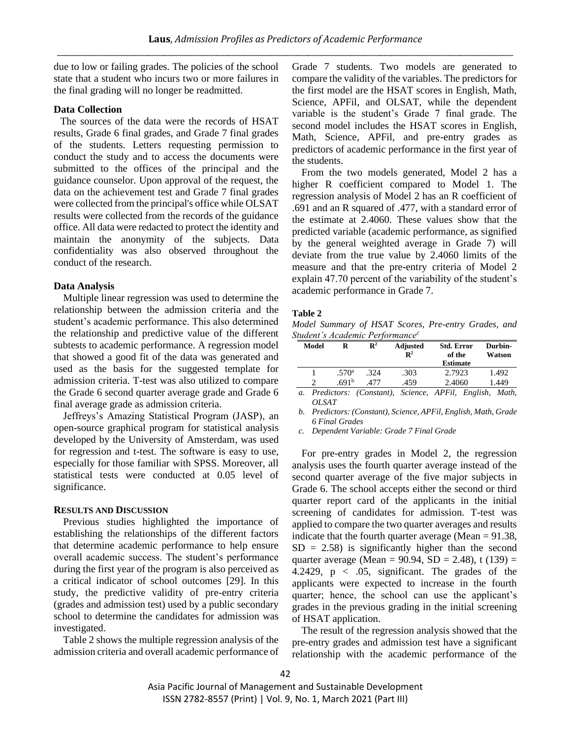due to low or failing grades. The policies of the school state that a student who incurs two or more failures in the final grading will no longer be readmitted.

# **Data Collection**

The sources of the data were the records of HSAT results, Grade 6 final grades, and Grade 7 final grades of the students. Letters requesting permission to conduct the study and to access the documents were submitted to the offices of the principal and the guidance counselor. Upon approval of the request, the data on the achievement test and Grade 7 final grades were collected from the principal's office while OLSAT results were collected from the records of the guidance office. All data were redacted to protect the identity and maintain the anonymity of the subjects. Data confidentiality was also observed throughout the conduct of the research.

#### **Data Analysis**

Multiple linear regression was used to determine the relationship between the admission criteria and the student's academic performance. This also determined the relationship and predictive value of the different subtests to academic performance. A regression model that showed a good fit of the data was generated and used as the basis for the suggested template for admission criteria. T-test was also utilized to compare the Grade 6 second quarter average grade and Grade 6 final average grade as admission criteria.

Jeffreys's Amazing Statistical Program (JASP), an open-source graphical program for statistical analysis developed by the University of Amsterdam, was used for regression and t-test. The software is easy to use, especially for those familiar with SPSS. Moreover, all statistical tests were conducted at 0.05 level of significance.

## **RESULTS AND DISCUSSION**

Previous studies highlighted the importance of establishing the relationships of the different factors that determine academic performance to help ensure overall academic success. The student's performance during the first year of the program is also perceived as a critical indicator of school outcomes [29]. In this study, the predictive validity of pre-entry criteria (grades and admission test) used by a public secondary school to determine the candidates for admission was investigated.

Table 2 shows the multiple regression analysis of the admission criteria and overall academic performance of Grade 7 students. Two models are generated to compare the validity of the variables. The predictors for the first model are the HSAT scores in English, Math, Science, APFil, and OLSAT, while the dependent variable is the student's Grade 7 final grade. The second model includes the HSAT scores in English, Math, Science, APFil, and pre-entry grades as predictors of academic performance in the first year of the students.

From the two models generated, Model 2 has a higher R coefficient compared to Model 1. The regression analysis of Model 2 has an R coefficient of .691 and an R squared of .477, with a standard error of the estimate at 2.4060. These values show that the predicted variable (academic performance, as signified by the general weighted average in Grade 7) will deviate from the true value by 2.4060 limits of the measure and that the pre-entry criteria of Model 2 explain 47.70 percent of the variability of the student's academic performance in Grade 7.

## **Table 2**

*Model Summary of HSAT Scores, Pre-entry Grades, and Student's Academic Performance<sup>c</sup>*

| Model | R                 | $\mathbf{R}^2$ | <b>Adjusted</b><br>$\mathbf{R}^2$ | <b>Std. Error</b><br>of the | Durbin-<br>Watson |
|-------|-------------------|----------------|-----------------------------------|-----------------------------|-------------------|
|       |                   |                |                                   | <b>Estimate</b>             |                   |
|       | .570 <sup>a</sup> | .324           | .303                              | 2.7923                      | 1.492             |
|       | .691 <sup>b</sup> |                | .459                              | 2.4060                      | 1.449             |
|       |                   |                |                                   |                             |                   |

*a. Predictors: (Constant), Science, APFil, English, Math, OLSAT*

*c. Dependent Variable: Grade 7 Final Grade* 

For pre-entry grades in Model 2, the regression analysis uses the fourth quarter average instead of the second quarter average of the five major subjects in Grade 6. The school accepts either the second or third quarter report card of the applicants in the initial screening of candidates for admission. T-test was applied to compare the two quarter averages and results indicate that the fourth quarter average (Mean  $= 91.38$ ,  $SD = 2.58$ ) is significantly higher than the second quarter average (Mean =  $90.94$ , SD = 2.48), t (139) = 4.2429,  $p \lt 0.05$ , significant. The grades of the applicants were expected to increase in the fourth quarter; hence, the school can use the applicant's grades in the previous grading in the initial screening of HSAT application.

The result of the regression analysis showed that the pre-entry grades and admission test have a significant relationship with the academic performance of the

*b. Predictors: (Constant), Science, APFil, English, Math, Grade 6 Final Grades*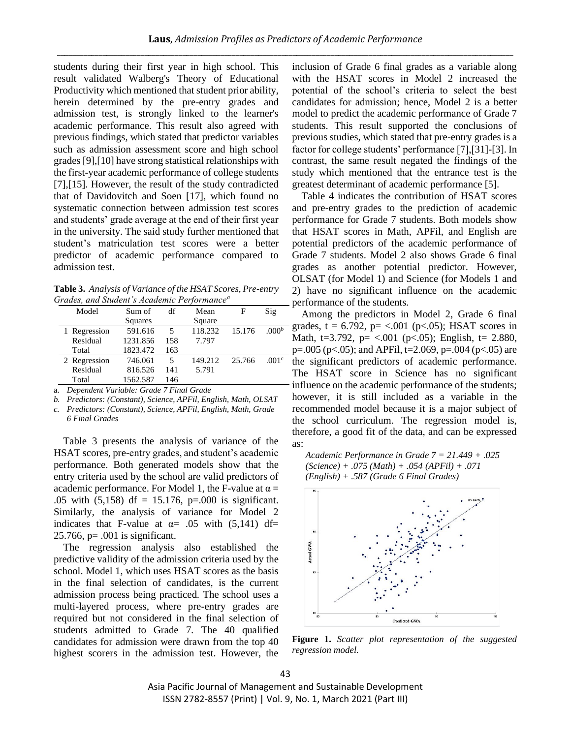students during their first year in high school. This result validated Walberg's Theory of Educational Productivity which mentioned that student prior ability, herein determined by the pre-entry grades and admission test, is strongly linked to the learner's academic performance. This result also agreed with previous findings, which stated that predictor variables such as admission assessment score and high school grades [9],[10] have strong statistical relationships with the first-year academic performance of college students [7],[15]. However, the result of the study contradicted that of Davidovitch and Soen [17], which found no systematic connection between admission test scores and students' grade average at the end of their first year in the university. The said study further mentioned that student's matriculation test scores were a better predictor of academic performance compared to admission test.

**Table 3.** *Analysis of Variance of the HSAT Scores, Pre-entry Grades, and Student's Academic Performance<sup>a</sup>*

| Model        | Sum of   |     | Mean    | F      | Sig               |
|--------------|----------|-----|---------|--------|-------------------|
|              | Squares  |     | Square  |        |                   |
| 1 Regression | 591.616  | 5   | 118.232 | 15.176 | .000 <sub>p</sub> |
| Residual     | 1231.856 | 158 | 7.797   |        |                   |
| Total        | 1823.472 | 163 |         |        |                   |
| 2 Regression | 746.061  | 5   | 149.212 | 25.766 | .001 <sup>c</sup> |
| Residual     | 816.526  | 141 | 5.791   |        |                   |
| Total        | 1562.587 | 146 |         |        |                   |

a. *Dependent Variable: Grade 7 Final Grade*

*b. Predictors: (Constant), Science, APFil, English, Math, OLSAT*

*c. Predictors: (Constant), Science, APFil, English, Math, Grade 6 Final Grades*

Table 3 presents the analysis of variance of the HSAT scores, pre-entry grades, and student's academic performance. Both generated models show that the entry criteria used by the school are valid predictors of academic performance. For Model 1, the F-value at  $\alpha$  = .05 with (5,158) df = 15.176, p=.000 is significant. Similarly, the analysis of variance for Model 2 indicates that F-value at  $\alpha$  = .05 with (5,141) df=  $25.766$ , p= .001 is significant.

The regression analysis also established the predictive validity of the admission criteria used by the school. Model 1, which uses HSAT scores as the basis in the final selection of candidates, is the current admission process being practiced. The school uses a multi-layered process, where pre-entry grades are required but not considered in the final selection of students admitted to Grade 7. The 40 qualified candidates for admission were drawn from the top 40 highest scorers in the admission test. However, the inclusion of Grade 6 final grades as a variable along with the HSAT scores in Model 2 increased the potential of the school's criteria to select the best candidates for admission; hence, Model 2 is a better model to predict the academic performance of Grade 7 students. This result supported the conclusions of previous studies, which stated that pre-entry grades is a factor for college students' performance [7],[31]-[3]. In contrast, the same result negated the findings of the study which mentioned that the entrance test is the greatest determinant of academic performance [5].

Table 4 indicates the contribution of HSAT scores and pre-entry grades to the prediction of academic performance for Grade 7 students. Both models show that HSAT scores in Math, APFil, and English are potential predictors of the academic performance of Grade 7 students. Model 2 also shows Grade 6 final grades as another potential predictor. However, OLSAT (for Model 1) and Science (for Models 1 and 2) have no significant influence on the academic performance of the students.

Among the predictors in Model 2, Grade 6 final grades,  $t = 6.792$ ,  $p = < .001$  ( $p < .05$ ); HSAT scores in Math, t=3.792,  $p=$  <.001 ( $p$ <.05); English, t= 2.880, p=.005 (p<.05); and APFil, t=2.069, p=.004 (p<.05) are the significant predictors of academic performance. The HSAT score in Science has no significant influence on the academic performance of the students; however, it is still included as a variable in the recommended model because it is a major subject of the school curriculum. The regression model is, therefore, a good fit of the data, and can be expressed as:

*Academic Performance in Grade 7 = 21.449 + .025 (Science) + .075 (Math) + .054 (APFil) + .071 (English) + .587 (Grade 6 Final Grades)*



**Figure 1.** *Scatter plot representation of the suggested regression model.*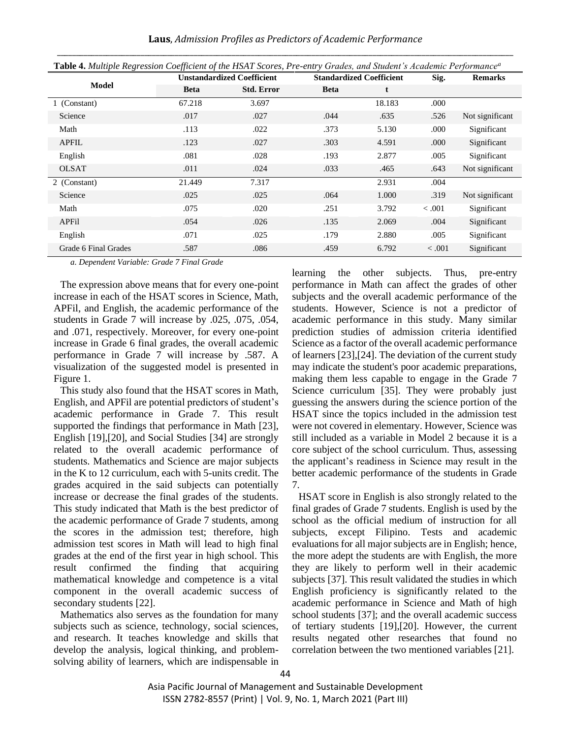| Table 4. Multiple Regression Coefficient of the HSAT Scores, Pre-entry Grades, and Student's Academic Performance <sup>a</sup> |                                   |                   |                                 |        |         |                 |  |
|--------------------------------------------------------------------------------------------------------------------------------|-----------------------------------|-------------------|---------------------------------|--------|---------|-----------------|--|
|                                                                                                                                | <b>Unstandardized Coefficient</b> |                   | <b>Standardized Coefficient</b> |        | Sig.    | <b>Remarks</b>  |  |
| <b>Model</b>                                                                                                                   | <b>Beta</b>                       | <b>Std. Error</b> | <b>Beta</b>                     | t      |         |                 |  |
| 1 (Constant)                                                                                                                   | 67.218                            | 3.697             |                                 | 18.183 | .000    |                 |  |
| Science                                                                                                                        | .017                              | .027              | .044                            | .635   | .526    | Not significant |  |
| Math                                                                                                                           | .113                              | .022              | .373                            | 5.130  | .000    | Significant     |  |
| <b>APFIL</b>                                                                                                                   | .123                              | .027              | .303                            | 4.591  | .000    | Significant     |  |
| English                                                                                                                        | .081                              | .028              | .193                            | 2.877  | .005    | Significant     |  |
| <b>OLSAT</b>                                                                                                                   | .011                              | .024              | .033                            | .465   | .643    | Not significant |  |
| 2 (Constant)                                                                                                                   | 21.449                            | 7.317             |                                 | 2.931  | .004    |                 |  |
| Science                                                                                                                        | .025                              | .025              | .064                            | 1.000  | .319    | Not significant |  |
| Math                                                                                                                           | .075                              | .020              | .251                            | 3.792  | $-.001$ | Significant     |  |
| APFil                                                                                                                          | .054                              | .026              | .135                            | 2.069  | .004    | Significant     |  |
| English                                                                                                                        | .071                              | .025              | .179                            | 2.880  | .005    | Significant     |  |
| Grade 6 Final Grades                                                                                                           | .587                              | .086              | .459                            | 6.792  | $-.001$ | Significant     |  |

*a. Dependent Variable: Grade 7 Final Grade*

The expression above means that for every one-point increase in each of the HSAT scores in Science, Math, APFil, and English, the academic performance of the students in Grade 7 will increase by .025, .075, .054, and .071, respectively. Moreover, for every one-point increase in Grade 6 final grades, the overall academic performance in Grade 7 will increase by .587. A visualization of the suggested model is presented in Figure 1.

This study also found that the HSAT scores in Math, English, and APFil are potential predictors of student's academic performance in Grade 7. This result supported the findings that performance in Math [23], English [19],[20], and Social Studies [34] are strongly related to the overall academic performance of students. Mathematics and Science are major subjects in the K to 12 curriculum, each with 5-units credit. The grades acquired in the said subjects can potentially increase or decrease the final grades of the students. This study indicated that Math is the best predictor of the academic performance of Grade 7 students, among the scores in the admission test; therefore, high admission test scores in Math will lead to high final grades at the end of the first year in high school. This result confirmed the finding that acquiring mathematical knowledge and competence is a vital component in the overall academic success of secondary students [22].

Mathematics also serves as the foundation for many subjects such as science, technology, social sciences, and research. It teaches knowledge and skills that develop the analysis, logical thinking, and problemsolving ability of learners, which are indispensable in learning the other subjects. Thus, pre-entry performance in Math can affect the grades of other subjects and the overall academic performance of the students. However, Science is not a predictor of academic performance in this study. Many similar prediction studies of admission criteria identified Science as a factor of the overall academic performance of learners [23],[24]. The deviation of the current study may indicate the student's poor academic preparations, making them less capable to engage in the Grade 7 Science curriculum [35]. They were probably just guessing the answers during the science portion of the HSAT since the topics included in the admission test were not covered in elementary. However, Science was still included as a variable in Model 2 because it is a core subject of the school curriculum. Thus, assessing the applicant's readiness in Science may result in the better academic performance of the students in Grade 7.

HSAT score in English is also strongly related to the final grades of Grade 7 students. English is used by the school as the official medium of instruction for all subjects, except Filipino. Tests and academic evaluations for all major subjects are in English; hence, the more adept the students are with English, the more they are likely to perform well in their academic subjects [37]. This result validated the studies in which English proficiency is significantly related to the academic performance in Science and Math of high school students [37]; and the overall academic success of tertiary students [19],[20]. However, the current results negated other researches that found no correlation between the two mentioned variables [21].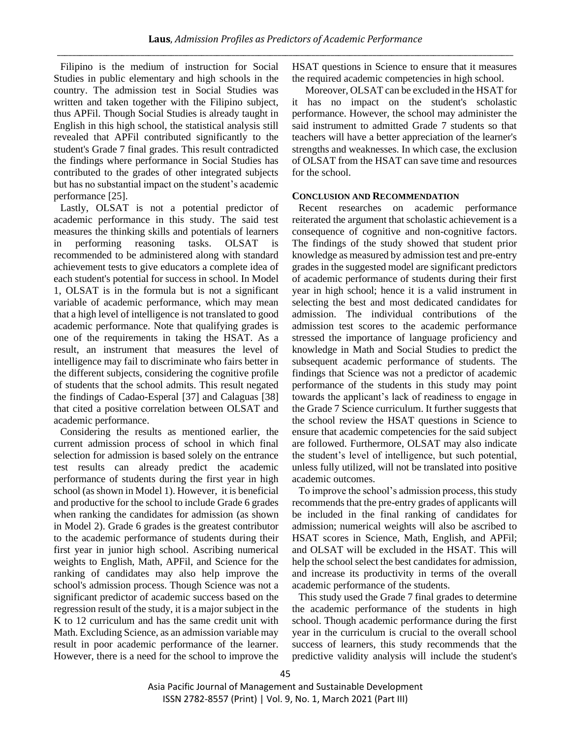Filipino is the medium of instruction for Social Studies in public elementary and high schools in the country. The admission test in Social Studies was written and taken together with the Filipino subject, thus APFil. Though Social Studies is already taught in English in this high school, the statistical analysis still revealed that APFil contributed significantly to the student's Grade 7 final grades. This result contradicted the findings where performance in Social Studies has contributed to the grades of other integrated subjects but has no substantial impact on the student's academic performance [25].

Lastly, OLSAT is not a potential predictor of academic performance in this study. The said test measures the thinking skills and potentials of learners in performing reasoning tasks. OLSAT is recommended to be administered along with standard achievement tests to give educators a complete idea of each student's potential for success in school. In Model 1, OLSAT is in the formula but is not a significant variable of academic performance, which may mean that a high level of intelligence is not translated to good academic performance. Note that qualifying grades is one of the requirements in taking the HSAT. As a result, an instrument that measures the level of intelligence may fail to discriminate who fairs better in the different subjects, considering the cognitive profile of students that the school admits. This result negated the findings of Cadao-Esperal [37] and Calaguas [38] that cited a positive correlation between OLSAT and academic performance.

Considering the results as mentioned earlier, the current admission process of school in which final selection for admission is based solely on the entrance test results can already predict the academic performance of students during the first year in high school (as shown in Model 1). However, it is beneficial and productive for the school to include Grade 6 grades when ranking the candidates for admission (as shown in Model 2). Grade 6 grades is the greatest contributor to the academic performance of students during their first year in junior high school. Ascribing numerical weights to English, Math, APFil, and Science for the ranking of candidates may also help improve the school's admission process. Though Science was not a significant predictor of academic success based on the regression result of the study, it is a major subject in the K to 12 curriculum and has the same credit unit with Math. Excluding Science, as an admission variable may result in poor academic performance of the learner. However, there is a need for the school to improve the HSAT questions in Science to ensure that it measures the required academic competencies in high school.

Moreover, OLSAT can be excluded in the HSAT for it has no impact on the student's scholastic performance. However, the school may administer the said instrument to admitted Grade 7 students so that teachers will have a better appreciation of the learner's strengths and weaknesses. In which case, the exclusion of OLSAT from the HSAT can save time and resources for the school.

# **CONCLUSION AND RECOMMENDATION**

Recent researches on academic performance reiterated the argument that scholastic achievement is a consequence of cognitive and non-cognitive factors. The findings of the study showed that student prior knowledge as measured by admission test and pre-entry grades in the suggested model are significant predictors of academic performance of students during their first year in high school; hence it is a valid instrument in selecting the best and most dedicated candidates for admission. The individual contributions of the admission test scores to the academic performance stressed the importance of language proficiency and knowledge in Math and Social Studies to predict the subsequent academic performance of students. The findings that Science was not a predictor of academic performance of the students in this study may point towards the applicant's lack of readiness to engage in the Grade 7 Science curriculum. It further suggests that the school review the HSAT questions in Science to ensure that academic competencies for the said subject are followed. Furthermore, OLSAT may also indicate the student's level of intelligence, but such potential, unless fully utilized, will not be translated into positive academic outcomes.

To improve the school's admission process, this study recommends that the pre-entry grades of applicants will be included in the final ranking of candidates for admission; numerical weights will also be ascribed to HSAT scores in Science, Math, English, and APFil; and OLSAT will be excluded in the HSAT. This will help the school select the best candidates for admission, and increase its productivity in terms of the overall academic performance of the students.

This study used the Grade 7 final grades to determine the academic performance of the students in high school. Though academic performance during the first year in the curriculum is crucial to the overall school success of learners, this study recommends that the predictive validity analysis will include the student's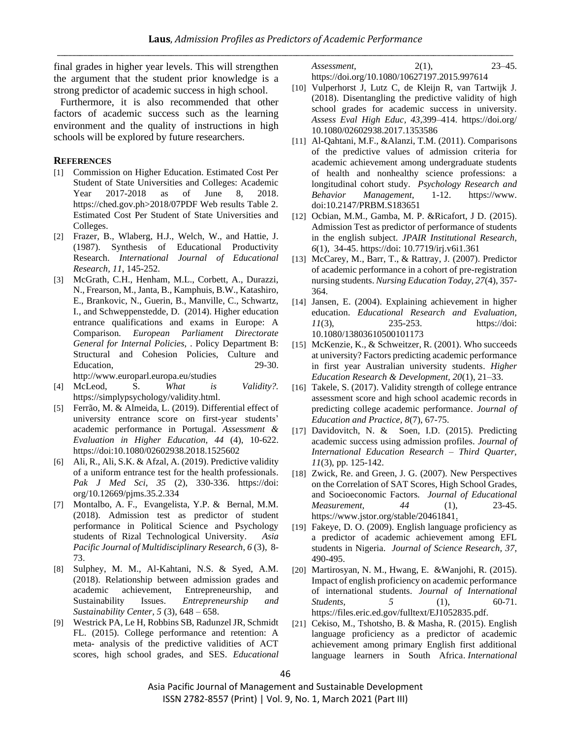final grades in higher year levels. This will strengthen the argument that the student prior knowledge is a strong predictor of academic success in high school.

Furthermore, it is also recommended that other factors of academic success such as the learning environment and the quality of instructions in high schools will be explored by future researchers.

#### **REFERENCES**

- [1] Commission on Higher Education. Estimated Cost Per Student of State Universities and Colleges: Academic Year 2017-2018 as of June 8, 2018. https://ched.gov.ph>2018/07PDF Web results Table 2. Estimated Cost Per Student of State Universities and Colleges.
- [2] Frazer, B., Wlaberg, H.J., Welch, W., and Hattie, J. (1987). Synthesis of Educational Productivity Research. *International Journal of Educational Research, 11*, 145-252.
- [3] McGrath, C.H., Henham, M.L., Corbett, A., Durazzi, N., Frearson, M., Janta, B., Kamphuis, B.W., Katashiro, E., Brankovic, N., Guerin, B., Manville, C., Schwartz, I., and Schweppenstedde, D. (2014). Higher education entrance qualifications and exams in Europe: A Comparison*. European Parliament Directorate General for Internal Policies,* . Policy Department B: Structural and Cohesion Policies, Culture and Education, 29-30. http://www.europarl.europa.eu/studies
- [4] McLeod, S. *What is Validity?.* https://simplypsychology/validity.html.
- [5] Ferrão, M. & Almeida, L. (2019). Differential effect of university entrance score on first-year students' academic performance in Portugal. *Assessment & Evaluation in Higher Education, 44* (4), 10-622. https://doi:10.1080/02602938.2018.1525602
- [6] Ali, R., Ali, S.K. & Afzal, A. (2019). Predictive validity of a uniform entrance test for the health professionals. *Pak J Med Sci, 35* (2), 330-336. https://doi: org/10.12669/pjms.35.2.334
- [7] Montalbo, A. F., Evangelista, Y.P. & Bernal, M.M. (2018). Admission test as predictor of student performance in Political Science and Psychology students of Rizal Technological University. *Asia Pacific Journal of Multidisciplinary Research*, *6* (3), 8- 73.
- [8] Sulphey, M. M., Al-Kahtani, N.S. & Syed, A.M. (2018). Relationship between admission grades and academic achievement, Entrepreneurship, and Sustainability Issues. *Entrepreneurship and Sustainability Center, 5* (3), 648 – 658.
- [9] Westrick PA, Le H, Robbins SB, Radunzel JR, Schmidt FL. (2015). College performance and retention: A meta- analysis of the predictive validities of ACT scores, high school grades, and SES. *Educational*

*Assessment,* 2(1), 23–45. https://doi.org/10.1080/10627197.2015.997614

- [10] Vulperhorst J, Lutz C, de Kleijn R, van Tartwijk J. (2018). Disentangling the predictive validity of high school grades for academic success in university. *Assess Eval High Educ, 43*,399–414. https://doi.org/ 10.1080/02602938.2017.1353586
- [11] Al-Qahtani, M.F., &Alanzi, T.M. (2011). Comparisons of the predictive values of admission criteria for academic achievement among undergraduate students of health and nonhealthy science professions: a longitudinal cohort study. *Psychology Research and Behavior Management*, 1-12. https://www. doi:10.2147/PRBM.S183651
- [12] Ocbian, M.M., Gamba, M. P. &Ricafort, J D. (2015). Admission Test as predictor of performance of students in the english subject. *JPAIR Institutional Research, 6*(1), 34-45. https://doi: 10.7719/irj.v6i1.361
- [13] McCarey, M., Barr, T., & Rattray, J. (2007). Predictor of academic performance in a cohort of pre-registration nursing students. *Nursing Education Today, 27*(4), 357- 364.
- [14] Jansen, E. (2004). Explaining achievement in higher education. *Educational Research and Evaluation, 11*(3), 235-253. https://doi: 10.1080/13803610500101173
- [15] McKenzie, K., & Schweitzer, R. (2001). Who succeeds at university? Factors predicting academic performance in first year Australian university students. *Higher Education Research & Development, 20*(1), 21–33.
- [16] Takele, S. (2017). Validity strength of college entrance assessment score and high school academic records in predicting college academic performance. *Journal of Education and Practice, 8*(7), 67-75.
- [17] Davidovitch, N. & Soen, I.D. (2015). Predicting academic success using admission profiles. *Journal of International Education Research – Third Quarter, 11*(3), pp. 125-142.
- [18] Zwick, Re. and Green, J. G. (2007). New Perspectives on the Correlation of SAT Scores, High School Grades, and Socioeconomic Factors*. Journal of Educational Measurement, 44* (1), 23-45. https://www.jstor.org/stable/20461841.
- [19] Fakeye, D. O. (2009). English language proficiency as a predictor of academic achievement among EFL students in Nigeria. *Journal of Science Research, 37*, 490-495.
- [20] Martirosyan, N. M., Hwang, E. &Wanjohi, R. (2015). Impact of english proficiency on academic performance of international students. *Journal of International Students,* 5 (1), 60-71. https://files.eric.ed.gov/fulltext/EJ1052835.pdf.
- [21] Cekiso, M., Tshotsho, B. & Masha, R. (2015). English language proficiency as a predictor of academic achievement among primary English first additional language learners in South Africa. *International*